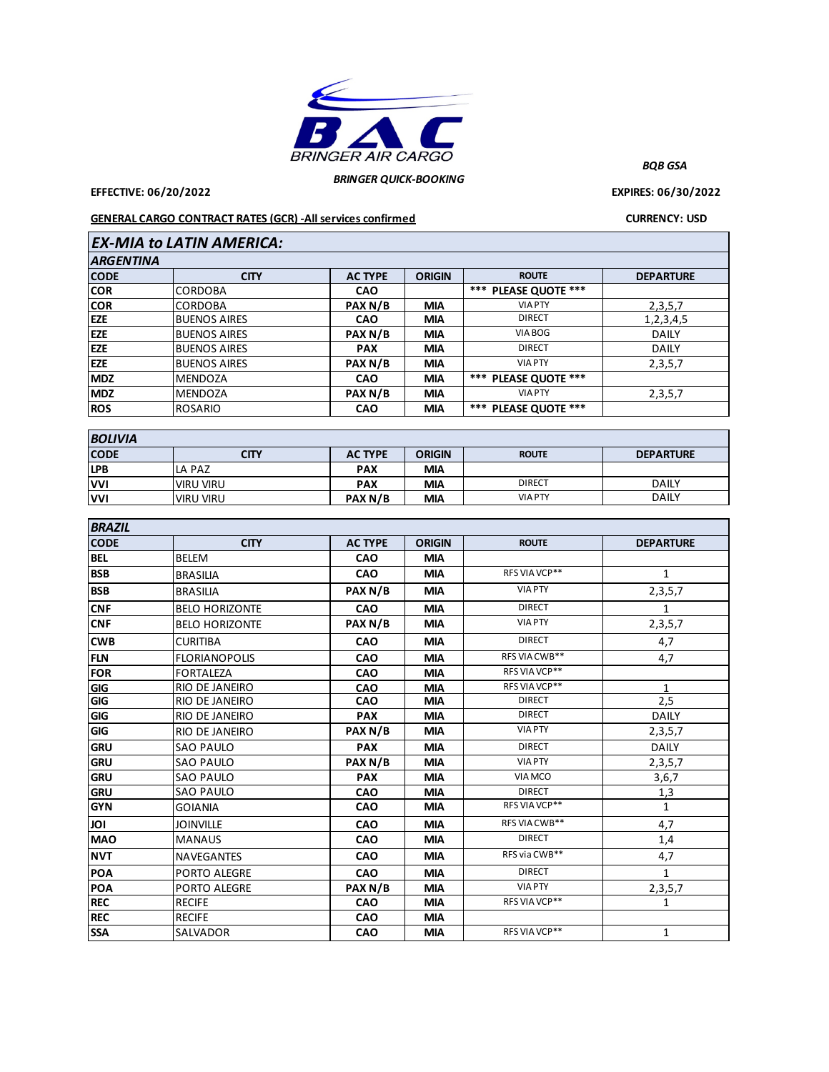

*BRINGER QUICK-BOOKING*

**EFFECTIVE: 06/20/2022 EXPIRES: 06/30/2022**

*BQB GSA*

## **GENERAL CARGO CONTRACT RATES (GCR) -All services confirmed CURRENCY: USD**

| <b>EX-MIA to LATIN AMERICA:</b> |                     |                |               |                      |                  |  |  |  |  |
|---------------------------------|---------------------|----------------|---------------|----------------------|------------------|--|--|--|--|
| <b>ARGENTINA</b>                |                     |                |               |                      |                  |  |  |  |  |
| <b>CODE</b>                     | <b>CITY</b>         | <b>AC TYPE</b> | <b>ORIGIN</b> | <b>ROUTE</b>         | <b>DEPARTURE</b> |  |  |  |  |
| <b>COR</b>                      | <b>CORDOBA</b>      | <b>CAO</b>     |               | *** PLEASE QUOTE *** |                  |  |  |  |  |
| <b>COR</b>                      | <b>CORDOBA</b>      | PAX N/B        | <b>MIA</b>    | <b>VIA PTY</b>       | 2, 3, 5, 7       |  |  |  |  |
| <b>EZE</b>                      | <b>BUENOS AIRES</b> | <b>CAO</b>     | <b>MIA</b>    | <b>DIRECT</b>        | 1,2,3,4,5        |  |  |  |  |
| <b>EZE</b>                      | <b>BUENOS AIRES</b> | PAX N/B        | <b>MIA</b>    | VIA BOG              | <b>DAILY</b>     |  |  |  |  |
| <b>EZE</b>                      | <b>BUENOS AIRES</b> | <b>PAX</b>     | <b>MIA</b>    | <b>DIRECT</b>        | <b>DAILY</b>     |  |  |  |  |
| <b>EZE</b>                      | <b>BUENOS AIRES</b> | PAX N/B        | <b>MIA</b>    | <b>VIA PTY</b>       | 2,3,5,7          |  |  |  |  |
| <b>MDZ</b>                      | MENDOZA             | <b>CAO</b>     | <b>MIA</b>    | *** PLEASE QUOTE *** |                  |  |  |  |  |
| <b>MDZ</b>                      | <b>MENDOZA</b>      | PAX N/B        | <b>MIA</b>    | <b>VIA PTY</b>       | 2,3,5,7          |  |  |  |  |
| <b>ROS</b>                      | <b>ROSARIO</b>      | <b>CAO</b>     | <b>MIA</b>    | *** PLEASE QUOTE *** |                  |  |  |  |  |
|                                 |                     |                |               |                      |                  |  |  |  |  |

| <b>BOLIVIA</b> |                  |                |               |                |                  |  |  |
|----------------|------------------|----------------|---------------|----------------|------------------|--|--|
| <b>CODE</b>    | <b>CITY</b>      | <b>AC TYPE</b> | <b>ORIGIN</b> | <b>ROUTE</b>   | <b>DEPARTURE</b> |  |  |
| <b>LPB</b>     | LA PAZ           | <b>PAX</b>     | <b>MIA</b>    |                |                  |  |  |
| <b>VVI</b>     | <b>VIRU VIRU</b> | <b>PAX</b>     | <b>MIA</b>    | <b>DIRECT</b>  | <b>DAILY</b>     |  |  |
| <b>VVI</b>     | <b>VIRU VIRU</b> | PAX N/B        | <b>MIA</b>    | <b>VIA PTY</b> | <b>DAILY</b>     |  |  |

| <b>BRAZIL</b> |                       |                |               |                |                  |  |  |  |
|---------------|-----------------------|----------------|---------------|----------------|------------------|--|--|--|
| <b>CODE</b>   | <b>CITY</b>           | <b>AC TYPE</b> | <b>ORIGIN</b> | <b>ROUTE</b>   | <b>DEPARTURE</b> |  |  |  |
| <b>BEL</b>    | <b>BELEM</b>          | CAO            | <b>MIA</b>    |                |                  |  |  |  |
| <b>BSB</b>    | <b>BRASILIA</b>       | <b>CAO</b>     | <b>MIA</b>    | RFS VIA VCP**  | 1                |  |  |  |
| <b>BSB</b>    | <b>BRASILIA</b>       | PAX N/B        | <b>MIA</b>    | <b>VIA PTY</b> | 2,3,5,7          |  |  |  |
| <b>CNF</b>    | <b>BELO HORIZONTE</b> | CAO            | <b>MIA</b>    | <b>DIRECT</b>  | 1                |  |  |  |
| <b>CNF</b>    | <b>BELO HORIZONTE</b> | PAX N/B        | <b>MIA</b>    | <b>VIA PTY</b> | 2,3,5,7          |  |  |  |
| <b>CWB</b>    | <b>CURITIBA</b>       | CAO            | <b>MIA</b>    | <b>DIRECT</b>  | 4,7              |  |  |  |
| <b>FLN</b>    | <b>FLORIANOPOLIS</b>  | <b>CAO</b>     | <b>MIA</b>    | RFS VIA CWB**  | 4,7              |  |  |  |
| <b>FOR</b>    | <b>FORTALEZA</b>      | CAO            | <b>MIA</b>    | RFS VIA VCP**  |                  |  |  |  |
| GIG           | RIO DE JANEIRO        | CAO            | <b>MIA</b>    | RFS VIA VCP**  | $\mathbf{1}$     |  |  |  |
| GIG           | RIO DE JANEIRO        | CAO            | <b>MIA</b>    | <b>DIRECT</b>  | 2,5              |  |  |  |
| GIG           | RIO DE JANEIRO        | <b>PAX</b>     | <b>MIA</b>    | <b>DIRECT</b>  | <b>DAILY</b>     |  |  |  |
| GIG           | RIO DE JANEIRO        | PAX N/B        | <b>MIA</b>    | <b>VIA PTY</b> | 2,3,5,7          |  |  |  |
| <b>GRU</b>    | <b>SAO PAULO</b>      | <b>PAX</b>     | <b>MIA</b>    | <b>DIRECT</b>  | <b>DAILY</b>     |  |  |  |
| <b>GRU</b>    | <b>SAO PAULO</b>      | PAX N/B        | <b>MIA</b>    | <b>VIA PTY</b> | 2,3,5,7          |  |  |  |
| <b>GRU</b>    | <b>SAO PAULO</b>      | <b>PAX</b>     | <b>MIA</b>    | VIA MCO        | 3,6,7            |  |  |  |
| <b>GRU</b>    | <b>SAO PAULO</b>      | <b>CAO</b>     | <b>MIA</b>    | <b>DIRECT</b>  | <u>1,3</u>       |  |  |  |
| <b>GYN</b>    | <b>GOIANIA</b>        | <b>CAO</b>     | <b>MIA</b>    | RFS VIA VCP**  | $\mathbf{1}$     |  |  |  |
| JOI           | <b>JOINVILLE</b>      | CAO            | <b>MIA</b>    | RFS VIA CWB**  | 4,7              |  |  |  |
| <b>MAO</b>    | <b>MANAUS</b>         | <b>CAO</b>     | <b>MIA</b>    | <b>DIRECT</b>  | 1,4              |  |  |  |
| <b>NVT</b>    | <b>NAVEGANTES</b>     | CAO            | <b>MIA</b>    | RFS via CWB**  | 4,7              |  |  |  |
| <b>POA</b>    | PORTO ALEGRE          | CAO            | <b>MIA</b>    | <b>DIRECT</b>  | $\mathbf{1}$     |  |  |  |
| <b>POA</b>    | <b>PORTO ALEGRE</b>   | PAX N/B        | <b>MIA</b>    | <b>VIA PTY</b> | 2,3,5,7          |  |  |  |
| <b>REC</b>    | <b>RECIFE</b>         | CAO            | <b>MIA</b>    | RFS VIA VCP**  | 1                |  |  |  |
| <b>REC</b>    | <b>RECIFE</b>         | CAO            | <b>MIA</b>    |                |                  |  |  |  |
| <b>SSA</b>    | SALVADOR              | <b>CAO</b>     | <b>MIA</b>    | RFS VIA VCP**  | 1                |  |  |  |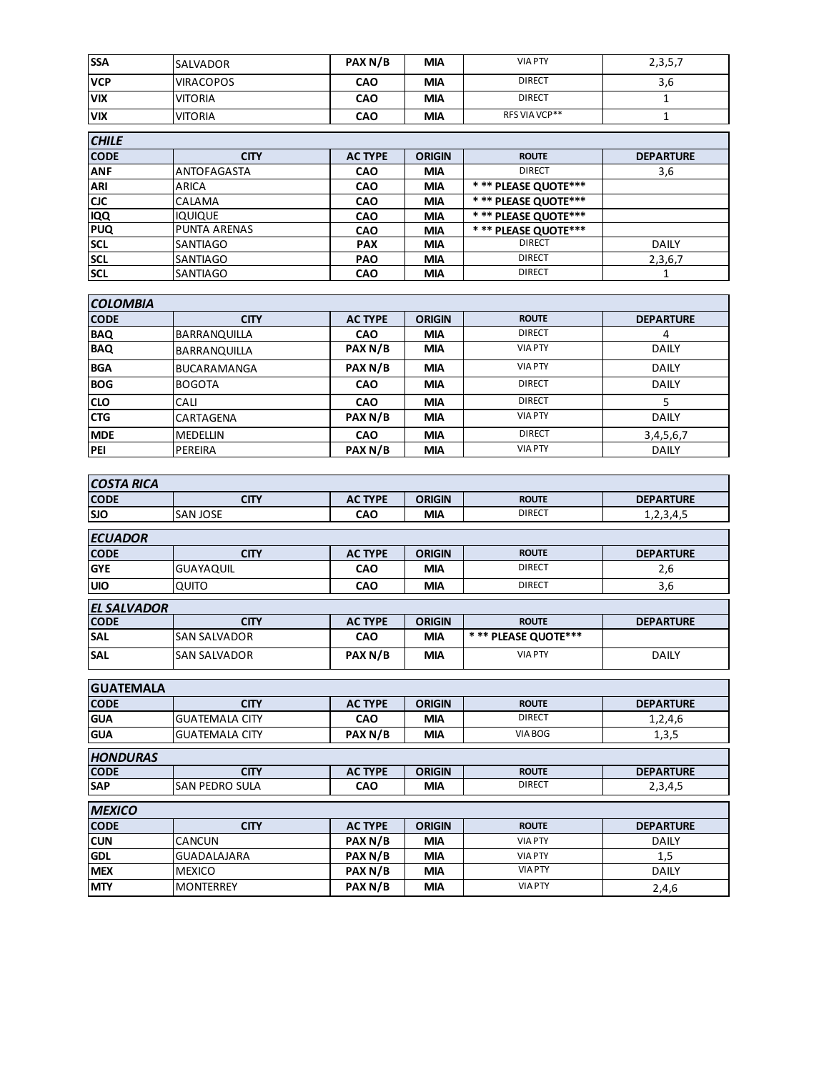| <b>SSA</b>   | <b>SALVADOR</b>     | PAX N/B        | <b>MIA</b>    | <b>VIA PTY</b>        | 2, 3, 5, 7       |  |  |  |
|--------------|---------------------|----------------|---------------|-----------------------|------------------|--|--|--|
| <b>VCP</b>   | <b>VIRACOPOS</b>    | <b>CAO</b>     | <b>MIA</b>    | <b>DIRECT</b>         | 3,6              |  |  |  |
| <b>VIX</b>   | <b>VITORIA</b>      | <b>CAO</b>     | <b>MIA</b>    | <b>DIRECT</b>         | 1                |  |  |  |
| <b>VIX</b>   | <b>VITORIA</b>      | <b>CAO</b>     | <b>MIA</b>    | RFS VIA VCP**         |                  |  |  |  |
| <b>CHILE</b> |                     |                |               |                       |                  |  |  |  |
| <b>CODE</b>  | <b>CITY</b>         | <b>AC TYPE</b> | <b>ORIGIN</b> | <b>ROUTE</b>          | <b>DEPARTURE</b> |  |  |  |
| <b>ANF</b>   | <b>ANTOFAGASTA</b>  | <b>CAO</b>     | <b>MIA</b>    | <b>DIRECT</b>         | 3,6              |  |  |  |
| <b>ARI</b>   | <b>ARICA</b>        | <b>CAO</b>     | <b>MIA</b>    | * ** PLEASE QUOTE *** |                  |  |  |  |
| <b>CJC</b>   | <b>CALAMA</b>       | <b>CAO</b>     | <b>MIA</b>    | *** PLEASE QUOTE***   |                  |  |  |  |
| <b>IQQ</b>   | <b>IQUIQUE</b>      | <b>CAO</b>     | <b>MIA</b>    | * ** PLEASE QUOTE *** |                  |  |  |  |
| <b>PUQ</b>   | <b>PUNTA ARENAS</b> | <b>CAO</b>     | <b>MIA</b>    | *** PLEASE QUOTE***   |                  |  |  |  |
| <b>SCL</b>   | <b>SANTIAGO</b>     | <b>PAX</b>     | <b>MIA</b>    | <b>DIRECT</b>         | <b>DAILY</b>     |  |  |  |
| <b>SCL</b>   | <b>SANTIAGO</b>     | <b>PAO</b>     | <b>MIA</b>    | <b>DIRECT</b>         | 2,3,6,7          |  |  |  |
| <b>SCL</b>   | SANTIAGO            | <b>CAO</b>     | <b>MIA</b>    | <b>DIRECT</b>         |                  |  |  |  |

| <b>COLOMBIA</b> |                     |                |               |                |                  |  |  |  |
|-----------------|---------------------|----------------|---------------|----------------|------------------|--|--|--|
| <b>CODE</b>     | <b>CITY</b>         | <b>AC TYPE</b> | <b>ORIGIN</b> | <b>ROUTE</b>   | <b>DEPARTURE</b> |  |  |  |
| <b>BAQ</b>      | <b>BARRANQUILLA</b> | <b>CAO</b>     | <b>MIA</b>    | <b>DIRECT</b>  | 4                |  |  |  |
| <b>BAQ</b>      | <b>BARRANQUILLA</b> | PAX N/B        | <b>MIA</b>    | <b>VIA PTY</b> | <b>DAILY</b>     |  |  |  |
| <b>BGA</b>      | <b>BUCARAMANGA</b>  | PAX N/B        | <b>MIA</b>    | <b>VIA PTY</b> | <b>DAILY</b>     |  |  |  |
| <b>BOG</b>      | <b>BOGOTA</b>       | <b>CAO</b>     | <b>MIA</b>    | <b>DIRECT</b>  | <b>DAILY</b>     |  |  |  |
| <b>CLO</b>      | CALI                | <b>CAO</b>     | <b>MIA</b>    | <b>DIRECT</b>  |                  |  |  |  |
| <b>CTG</b>      | CARTAGENA           | PAX N/B        | <b>MIA</b>    | <b>VIA PTY</b> | <b>DAILY</b>     |  |  |  |
| <b>MDE</b>      | <b>MEDELLIN</b>     | <b>CAO</b>     | <b>MIA</b>    | <b>DIRECT</b>  | 3, 4, 5, 6, 7    |  |  |  |
| PEI             | PEREIRA             | PAX N/B        | <b>MIA</b>    | <b>VIA PTY</b> | <b>DAILY</b>     |  |  |  |

| <b>COSTA RICA</b>  |                     |                |               |                     |                  |  |  |  |  |
|--------------------|---------------------|----------------|---------------|---------------------|------------------|--|--|--|--|
| <b>CODE</b>        | <b>CITY</b>         | <b>AC TYPE</b> | <b>ORIGIN</b> | <b>ROUTE</b>        | <b>DEPARTURE</b> |  |  |  |  |
| <b>SJO</b>         | <b>SANJOSE</b>      | <b>CAO</b>     | <b>MIA</b>    | <b>DIRECT</b>       | 1,2,3,4,5        |  |  |  |  |
| <b>ECUADOR</b>     |                     |                |               |                     |                  |  |  |  |  |
| <b>CODE</b>        | <b>CITY</b>         | <b>AC TYPE</b> | <b>ORIGIN</b> | <b>ROUTE</b>        | <b>DEPARTURE</b> |  |  |  |  |
| <b>GYE</b>         | <b>GUAYAQUIL</b>    | <b>CAO</b>     | <b>MIA</b>    | <b>DIRECT</b>       | 2,6              |  |  |  |  |
| <b>UIO</b>         | QUITO               | <b>CAO</b>     | <b>MIA</b>    | <b>DIRECT</b>       | 3,6              |  |  |  |  |
| <b>EL SALVADOR</b> |                     |                |               |                     |                  |  |  |  |  |
| <b>CODE</b>        | <b>CITY</b>         | <b>AC TYPE</b> | <b>ORIGIN</b> | <b>ROUTE</b>        | <b>DEPARTURE</b> |  |  |  |  |
| <b>SAL</b>         | <b>SAN SALVADOR</b> | <b>CAO</b>     | <b>MIA</b>    | *** PLEASE QUOTE*** |                  |  |  |  |  |
| <b>SAL</b>         | <b>SAN SALVADOR</b> | PAX N/B        | <b>MIA</b>    | <b>VIA PTY</b>      | <b>DAILY</b>     |  |  |  |  |

| <b>GUATEMALA</b> |                       |                |               |                |                  |
|------------------|-----------------------|----------------|---------------|----------------|------------------|
| <b>CODE</b>      | <b>CITY</b>           | <b>AC TYPE</b> | <b>ORIGIN</b> | <b>ROUTE</b>   | <b>DEPARTURE</b> |
| <b>GUA</b>       | <b>GUATEMALA CITY</b> | <b>CAO</b>     | <b>MIA</b>    | <b>DIRECT</b>  | 1,2,4,6          |
| <b>GUA</b>       | <b>GUATEMALA CITY</b> | PAX N/B        | <b>MIA</b>    | VIA BOG        | 1,3,5            |
| <b>HONDURAS</b>  |                       |                |               |                |                  |
| <b>CODE</b>      | <b>CITY</b>           | <b>AC TYPE</b> | <b>ORIGIN</b> | <b>ROUTE</b>   | <b>DEPARTURE</b> |
| <b>SAP</b>       | SAN PEDRO SULA        | <b>CAO</b>     | <b>MIA</b>    | <b>DIRECT</b>  | 2,3,4,5          |
| <b>MEXICO</b>    |                       |                |               |                |                  |
| <b>CODE</b>      | <b>CITY</b>           | <b>AC TYPE</b> | <b>ORIGIN</b> | <b>ROUTE</b>   | <b>DEPARTURE</b> |
| <b>CUN</b>       | <b>CANCUN</b>         | PAX N/B        | <b>MIA</b>    | <b>VIA PTY</b> | DAILY            |
| <b>GDL</b>       | <b>GUADALAJARA</b>    | PAX N/B        | <b>MIA</b>    | <b>VIA PTY</b> | 1,5              |
| <b>MEX</b>       | <b>MEXICO</b>         | PAX N/B        | <b>MIA</b>    | <b>VIA PTY</b> | <b>DAILY</b>     |
| <b>MTY</b>       | <b>MONTERREY</b>      | PAX N/B        | <b>MIA</b>    | <b>VIA PTY</b> | 2,4,6            |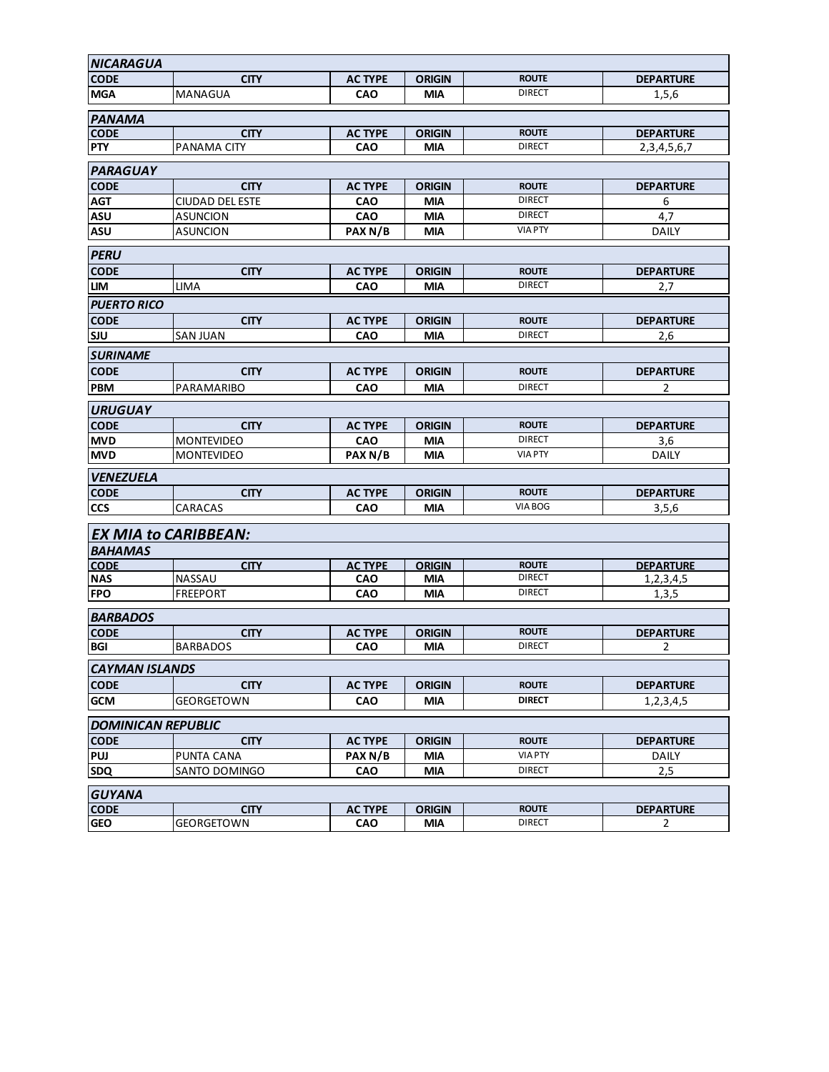| <b>NICARAGUA</b>            |                           |                       |                             |                               |                                    |  |  |
|-----------------------------|---------------------------|-----------------------|-----------------------------|-------------------------------|------------------------------------|--|--|
| <b>CODE</b>                 | <b>CITY</b>               | <b>AC TYPE</b>        | <b>ORIGIN</b>               | <b>ROUTE</b>                  | <b>DEPARTURE</b>                   |  |  |
| <b>MGA</b>                  | MANAGUA                   | <b>CAO</b>            | MIA                         | <b>DIRECT</b>                 | 1,5,6                              |  |  |
| <b>PANAMA</b>               |                           |                       |                             |                               |                                    |  |  |
| <b>CODE</b>                 | <b>CITY</b>               | <b>AC TYPE</b>        | <b>ORIGIN</b>               | <b>ROUTE</b>                  | <b>DEPARTURE</b>                   |  |  |
| <b>PTY</b>                  | PANAMA CITY               | CAO                   | <b>MIA</b>                  | <b>DIRECT</b>                 | 2, 3, 4, 5, 6, 7                   |  |  |
| <b>PARAGUAY</b>             |                           |                       |                             |                               |                                    |  |  |
| <b>CODE</b>                 | <b>CITY</b>               | <b>AC TYPE</b>        | <b>ORIGIN</b>               | <b>ROUTE</b>                  | <b>DEPARTURE</b>                   |  |  |
| <b>AGT</b>                  | <b>CIUDAD DEL ESTE</b>    | <b>CAO</b>            | MIA                         | <b>DIRECT</b>                 | 6                                  |  |  |
| <b>ASU</b>                  | ASUNCION                  | CAO                   | <b>MIA</b>                  | <b>DIRECT</b>                 | 4,7                                |  |  |
| <b>ASU</b>                  | ASUNCION                  | PAX N/B               | <b>MIA</b>                  | <b>VIA PTY</b>                | <b>DAILY</b>                       |  |  |
| <b>PERU</b>                 |                           |                       |                             |                               |                                    |  |  |
| <b>CODE</b>                 | <b>CITY</b>               | <b>AC TYPE</b>        | <b>ORIGIN</b>               | <b>ROUTE</b>                  | <b>DEPARTURE</b>                   |  |  |
| LIM                         | <b>LIMA</b>               | <b>CAO</b>            | <b>MIA</b>                  | <b>DIRECT</b>                 | 2,7                                |  |  |
| <b>PUERTO RICO</b>          |                           |                       |                             |                               |                                    |  |  |
| <b>CODE</b>                 | <b>CITY</b>               | <b>AC TYPE</b>        | <b>ORIGIN</b>               | <b>ROUTE</b>                  | <b>DEPARTURE</b>                   |  |  |
| <b>SJU</b>                  | <b>SAN JUAN</b>           | <b>CAO</b>            | <b>MIA</b>                  | <b>DIRECT</b>                 | 2,6                                |  |  |
| <b>SURINAME</b>             |                           |                       |                             |                               |                                    |  |  |
| <b>CODE</b>                 | <b>CITY</b>               | <b>AC TYPE</b>        | <b>ORIGIN</b>               | <b>ROUTE</b>                  | <b>DEPARTURE</b>                   |  |  |
| <b>PBM</b>                  | PARAMARIBO                | <b>CAO</b>            | MIA                         | <b>DIRECT</b>                 | 2                                  |  |  |
| <b>URUGUAY</b>              |                           |                       |                             |                               |                                    |  |  |
| <b>CODE</b>                 | <b>CITY</b>               | <b>AC TYPE</b>        | <b>ORIGIN</b>               | <b>ROUTE</b>                  | <b>DEPARTURE</b>                   |  |  |
| <b>MVD</b>                  | <b>MONTEVIDEO</b>         | <b>CAO</b>            | MIA                         | <b>DIRECT</b>                 | 3,6                                |  |  |
| <b>MVD</b>                  | <b>MONTEVIDEO</b>         | PAX N/B               | <b>MIA</b>                  | <b>VIA PTY</b>                | <b>DAILY</b>                       |  |  |
| <b>VENEZUELA</b>            |                           |                       |                             |                               |                                    |  |  |
| <b>CODE</b>                 | <b>CITY</b>               | <b>AC TYPE</b>        | <b>ORIGIN</b>               | <b>ROUTE</b>                  | <b>DEPARTURE</b>                   |  |  |
| <b>CCS</b>                  | CARACAS                   | CAO                   | <b>MIA</b>                  | VIA BOG                       | 3,5,6                              |  |  |
| <b>EX MIA to CARIBBEAN:</b> |                           |                       |                             |                               |                                    |  |  |
| <b>BAHAMAS</b>              |                           |                       |                             |                               |                                    |  |  |
| <b>CODE</b>                 | <b>CITY</b>               | <b>AC TYPE</b>        | <b>ORIGIN</b>               | <b>ROUTE</b>                  | <b>DEPARTURE</b>                   |  |  |
| <b>NAS</b>                  | NASSAU                    | <b>CAO</b>            | MIA                         | <b>DIRECT</b>                 | 1,2,3,4,5                          |  |  |
| <b>FPO</b>                  | <b>FREEPORT</b>           | <b>CAO</b>            | <b>MIA</b>                  | <b>DIRECT</b>                 | 1,3,5                              |  |  |
| <b>BARBADOS</b>             |                           |                       |                             |                               |                                    |  |  |
| <b>CODE</b>                 | <b>CITY</b>               | <b>AC TYPE</b>        | <b>ORIGIN</b>               | <b>ROUTE</b>                  | <b>DEPARTURE</b>                   |  |  |
| <b>BGI</b>                  | <b>BARBADOS</b>           | <b>CAO</b>            | <b>MIA</b>                  | <b>DIRECT</b>                 | 2                                  |  |  |
| <b>CAYMAN ISLANDS</b>       |                           |                       |                             |                               |                                    |  |  |
| <b>CODE</b>                 | <b>CITY</b>               | <b>AC TYPE</b>        | <b>ORIGIN</b>               | <b>ROUTE</b>                  | <b>DEPARTURE</b>                   |  |  |
| <b>GCM</b>                  | GEORGETOWN                | <b>CAO</b>            | MIA                         | <b>DIRECT</b>                 | 1,2,3,4,5                          |  |  |
| <b>DOMINICAN REPUBLIC</b>   |                           |                       |                             |                               |                                    |  |  |
| <b>CODE</b>                 | <b>CITY</b>               | <b>AC TYPE</b>        | <b>ORIGIN</b>               | <b>ROUTE</b>                  | <b>DEPARTURE</b>                   |  |  |
| PUJ                         | PUNTA CANA                | PAX N/B               | <b>MIA</b>                  | <b>VIA PTY</b>                | DAILY                              |  |  |
| <b>SDQ</b>                  | SANTO DOMINGO             | CAO                   | <b>MIA</b>                  | <b>DIRECT</b>                 | 2,5                                |  |  |
|                             |                           |                       |                             |                               |                                    |  |  |
| <b>GUYANA</b>               |                           |                       |                             |                               |                                    |  |  |
| <b>CODE</b><br><b>GEO</b>   | <b>CITY</b><br>GEORGETOWN | <b>AC TYPE</b><br>CAO | <b>ORIGIN</b><br><b>MIA</b> | <b>ROUTE</b><br><b>DIRECT</b> | <b>DEPARTURE</b><br>$\overline{2}$ |  |  |
|                             |                           |                       |                             |                               |                                    |  |  |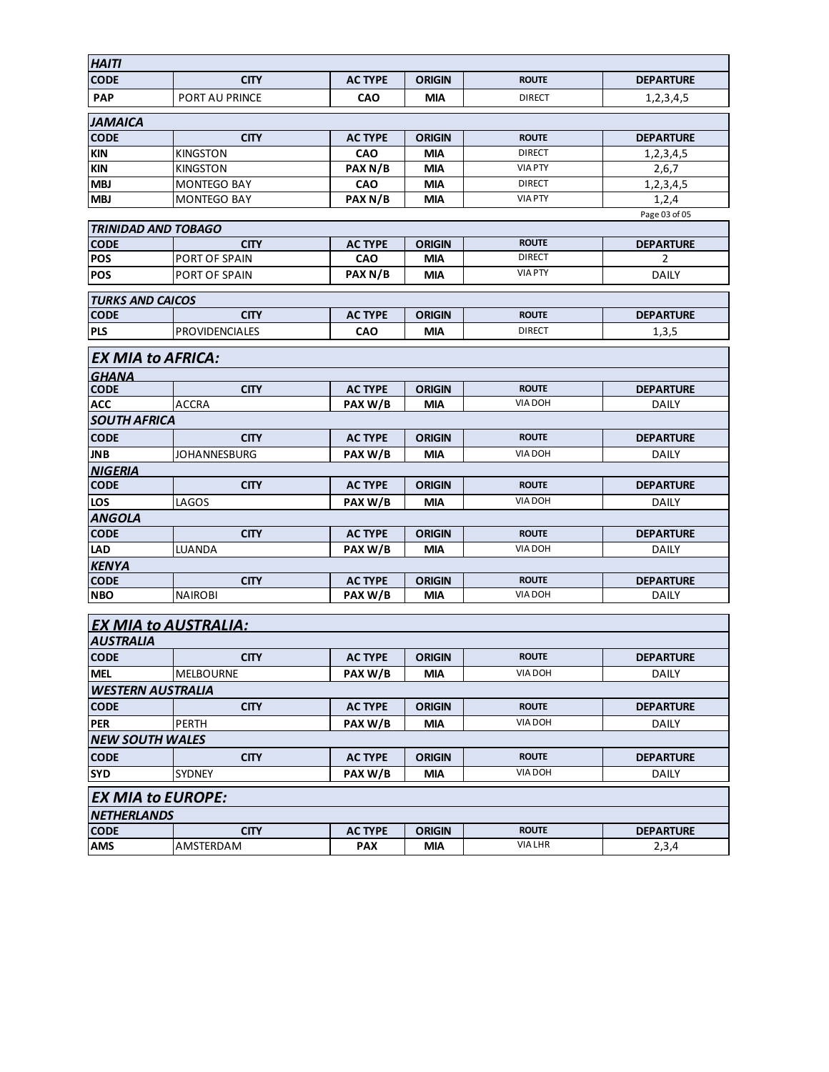| <b>HAITI</b>                              |                       |                |               |                |                  |  |  |  |
|-------------------------------------------|-----------------------|----------------|---------------|----------------|------------------|--|--|--|
| <b>CODE</b>                               | <b>CITY</b>           | <b>AC TYPE</b> | <b>ORIGIN</b> | <b>ROUTE</b>   | <b>DEPARTURE</b> |  |  |  |
| <b>PAP</b>                                | <b>PORT AU PRINCE</b> | <b>CAO</b>     | <b>MIA</b>    | <b>DIRECT</b>  | 1,2,3,4,5        |  |  |  |
|                                           |                       |                |               |                |                  |  |  |  |
| <b>JAMAICA</b>                            |                       |                |               |                |                  |  |  |  |
| <b>CODE</b>                               | <b>CITY</b>           | <b>AC TYPE</b> | <b>ORIGIN</b> | <b>ROUTE</b>   | <b>DEPARTURE</b> |  |  |  |
| <b>KIN</b>                                | <b>KINGSTON</b>       | <b>CAO</b>     | <b>MIA</b>    | <b>DIRECT</b>  | 1,2,3,4,5        |  |  |  |
| <b>KIN</b>                                | <b>KINGSTON</b>       | PAX N/B        | MIA           | <b>VIA PTY</b> | 2,6,7            |  |  |  |
| <b>MBJ</b>                                | <b>MONTEGO BAY</b>    | CAO            | <b>MIA</b>    | <b>DIRECT</b>  | 1,2,3,4,5        |  |  |  |
| <b>MBJ</b>                                | <b>MONTEGO BAY</b>    | PAX N/B        | MIA           | <b>VIA PTY</b> | 1,2,4            |  |  |  |
|                                           |                       |                |               |                | Page 03 of 05    |  |  |  |
| <b>TRINIDAD AND TOBAGO</b><br><b>CODE</b> | <b>CITY</b>           | <b>AC TYPE</b> | <b>ORIGIN</b> | <b>ROUTE</b>   | <b>DEPARTURE</b> |  |  |  |
| <b>POS</b>                                | PORT OF SPAIN         | <b>CAO</b>     | <b>MIA</b>    | <b>DIRECT</b>  | 2                |  |  |  |
| <b>POS</b>                                | PORT OF SPAIN         | PAX N/B        | <b>MIA</b>    | <b>VIA PTY</b> | <b>DAILY</b>     |  |  |  |
|                                           |                       |                |               |                |                  |  |  |  |
| <b>TURKS AND CAICOS</b>                   |                       |                |               |                |                  |  |  |  |
| <b>CODE</b>                               | <b>CITY</b>           | <b>AC TYPE</b> | <b>ORIGIN</b> | <b>ROUTE</b>   | <b>DEPARTURE</b> |  |  |  |
| <b>PLS</b>                                | <b>PROVIDENCIALES</b> | <b>CAO</b>     | MIA           | <b>DIRECT</b>  | 1,3,5            |  |  |  |
| <b>EX MIA to AFRICA:</b>                  |                       |                |               |                |                  |  |  |  |
| <b>GHANA</b>                              |                       |                |               |                |                  |  |  |  |
| <b>CODE</b>                               | <b>CITY</b>           | <b>AC TYPE</b> | <b>ORIGIN</b> | <b>ROUTE</b>   | <b>DEPARTURE</b> |  |  |  |
| <b>ACC</b>                                | ACCRA                 | PAX W/B        | MIA           | <b>VIA DOH</b> | DAILY            |  |  |  |
| <b>SOUTH AFRICA</b>                       |                       |                |               |                |                  |  |  |  |
| <b>CODE</b>                               | <b>CITY</b>           | <b>AC TYPE</b> | <b>ORIGIN</b> | <b>ROUTE</b>   | <b>DEPARTURE</b> |  |  |  |
| <b>JNB</b>                                | JOHANNESBURG          | PAX W/B        | <b>MIA</b>    | <b>VIA DOH</b> | <b>DAILY</b>     |  |  |  |
| <b>NIGERIA</b>                            |                       |                |               |                |                  |  |  |  |
| <b>CODE</b>                               | <b>CITY</b>           | <b>AC TYPE</b> | <b>ORIGIN</b> | <b>ROUTE</b>   | <b>DEPARTURE</b> |  |  |  |
| <b>LOS</b>                                | LAGOS                 | PAX W/B        | MIA           | <b>VIA DOH</b> | DAILY            |  |  |  |
| <b>ANGOLA</b>                             |                       |                |               |                |                  |  |  |  |
| <b>CODE</b>                               | <b>CITY</b>           | <b>AC TYPE</b> | <b>ORIGIN</b> | <b>ROUTE</b>   | <b>DEPARTURE</b> |  |  |  |
| <b>LAD</b>                                | LUANDA                | PAX W/B        | <b>MIA</b>    | <b>VIA DOH</b> | DAILY            |  |  |  |
| <b>KENYA</b>                              |                       |                |               |                |                  |  |  |  |
| <b>CODE</b>                               | <b>CITY</b>           | <b>AC TYPE</b> | <b>ORIGIN</b> | <b>ROUTE</b>   | <b>DEPARTURE</b> |  |  |  |
| <b>NBO</b>                                | <b>NAIROBI</b>        | PAX W/B        | MIA           | VIA DOH        | DAILY            |  |  |  |
|                                           |                       |                |               |                |                  |  |  |  |
| <b>EX MIA to AUSTRALIA:</b><br>AUSTRALIA  |                       |                |               |                |                  |  |  |  |
| <b>CODE</b>                               | <b>CITY</b>           | <b>AC TYPE</b> | <b>ORIGIN</b> | <b>ROUTE</b>   | <b>DEPARTURE</b> |  |  |  |
| <b>MEL</b>                                | <b>MELBOURNE</b>      | PAX W/B        | <b>MIA</b>    | VIA DOH        | <b>DAILY</b>     |  |  |  |
| <b>WESTERN AUSTRALIA</b>                  |                       |                |               |                |                  |  |  |  |
| <b>CODE</b>                               | <b>CITY</b>           | <b>AC TYPE</b> | <b>ORIGIN</b> | <b>ROUTE</b>   | <b>DEPARTURE</b> |  |  |  |
| <b>PER</b>                                | <b>PERTH</b>          | PAX W/B        | <b>MIA</b>    | VIA DOH        | DAILY            |  |  |  |
| <b>NEW SOUTH WALES</b>                    |                       |                |               |                |                  |  |  |  |
| <b>CODE</b>                               | <b>CITY</b>           | <b>AC TYPE</b> | <b>ORIGIN</b> | <b>ROUTE</b>   | <b>DEPARTURE</b> |  |  |  |
| <b>SYD</b>                                | SYDNEY                | PAX W/B        | MIA           | VIA DOH        | <b>DAILY</b>     |  |  |  |

| <b>EX MIA to EUROPE:</b> |                  |                |               |                |                  |  |  |  |
|--------------------------|------------------|----------------|---------------|----------------|------------------|--|--|--|
| <b>NETHERLANDS</b>       |                  |                |               |                |                  |  |  |  |
| <b>CODE</b>              | CITY             | <b>AC TYPE</b> | <b>ORIGIN</b> | <b>ROUTE</b>   | <b>DEPARTURE</b> |  |  |  |
| <b>AMS</b>               | <b>AMSTERDAM</b> | <b>PAX</b>     | <b>MIA</b>    | <b>VIA LHR</b> | 2,3,4            |  |  |  |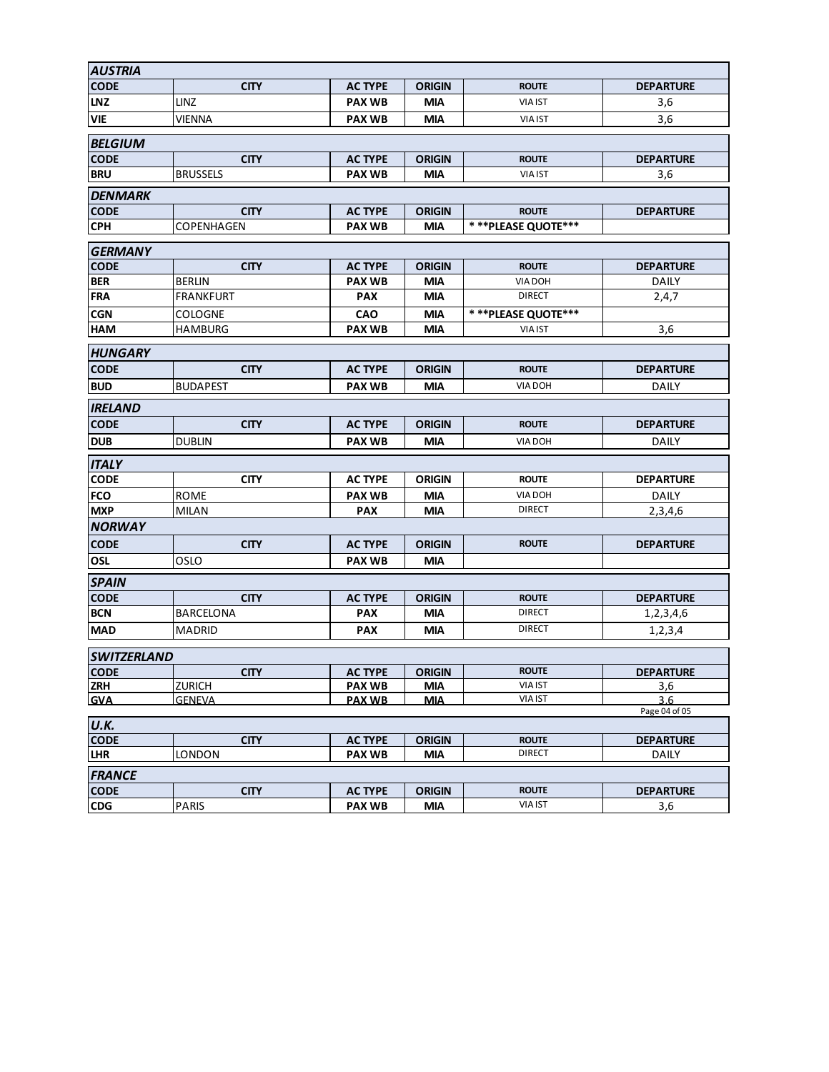| <b>AUSTRIA</b>                    |                              |                                 |                             |                                |                           |  |  |  |
|-----------------------------------|------------------------------|---------------------------------|-----------------------------|--------------------------------|---------------------------|--|--|--|
| <b>CODE</b>                       | <b>CITY</b>                  | <b>AC TYPE</b>                  | <b>ORIGIN</b>               | <b>ROUTE</b>                   | <b>DEPARTURE</b>          |  |  |  |
| <b>LNZ</b>                        | <b>LINZ</b>                  | <b>PAX WB</b>                   | <b>MIA</b>                  | <b>VIA IST</b>                 | 3,6                       |  |  |  |
| <b>VIE</b>                        | <b>VIENNA</b>                | <b>PAX WB</b>                   | <b>MIA</b>                  | <b>VIA IST</b>                 | 3,6                       |  |  |  |
| <b>BELGIUM</b>                    |                              |                                 |                             |                                |                           |  |  |  |
| <b>CODE</b>                       | <b>CITY</b>                  | <b>AC TYPE</b>                  | <b>ORIGIN</b>               | <b>ROUTE</b>                   | <b>DEPARTURE</b>          |  |  |  |
| <b>BRU</b>                        | <b>BRUSSELS</b>              | <b>PAX WB</b>                   | MIA                         | <b>VIA IST</b>                 | 3,6                       |  |  |  |
| <b>DENMARK</b>                    |                              |                                 |                             |                                |                           |  |  |  |
| <b>CODE</b>                       | <b>CITY</b>                  | <b>AC TYPE</b>                  | <b>ORIGIN</b>               | <b>ROUTE</b>                   | <b>DEPARTURE</b>          |  |  |  |
| <b>CPH</b>                        | COPENHAGEN                   | <b>PAX WB</b>                   | MIA                         | ***PLEASE QUOTE***             |                           |  |  |  |
| <b>GERMANY</b>                    |                              |                                 |                             |                                |                           |  |  |  |
| <b>CODE</b>                       | <b>CITY</b>                  | <b>AC TYPE</b>                  | <b>ORIGIN</b>               | <b>ROUTE</b>                   | <b>DEPARTURE</b>          |  |  |  |
| <b>BER</b>                        | <b>BERLIN</b>                | <b>PAX WB</b>                   | MIA                         | <b>VIA DOH</b>                 | DAILY                     |  |  |  |
| <b>FRA</b>                        | <b>FRANKFURT</b>             | <b>PAX</b>                      | <b>MIA</b>                  | <b>DIRECT</b>                  | 2,4,7                     |  |  |  |
| <b>CGN</b>                        | <b>COLOGNE</b>               | <b>CAO</b>                      | <b>MIA</b>                  | ***PLEASE QUOTE***             |                           |  |  |  |
| <b>HAM</b>                        | <b>HAMBURG</b>               | <b>PAX WB</b>                   | <b>MIA</b>                  | <b>VIA IST</b>                 | 3,6                       |  |  |  |
|                                   |                              |                                 |                             |                                |                           |  |  |  |
| <b>HUNGARY</b>                    |                              |                                 |                             |                                |                           |  |  |  |
| <b>CODE</b>                       | <b>CITY</b>                  | <b>AC TYPE</b>                  | <b>ORIGIN</b>               | <b>ROUTE</b>                   | <b>DEPARTURE</b>          |  |  |  |
| <b>BUD</b>                        | <b>BUDAPEST</b>              | <b>PAX WB</b>                   | <b>MIA</b>                  | <b>VIA DOH</b>                 | <b>DAILY</b>              |  |  |  |
| <b>IRELAND</b>                    |                              |                                 |                             |                                |                           |  |  |  |
| <b>CODE</b>                       | <b>CITY</b>                  | <b>AC TYPE</b>                  | <b>ORIGIN</b>               | <b>ROUTE</b>                   | <b>DEPARTURE</b>          |  |  |  |
| <b>DUB</b>                        | <b>DUBLIN</b>                | <b>PAX WB</b>                   | MIA                         | <b>VIA DOH</b>                 | DAILY                     |  |  |  |
| <b>ITALY</b>                      |                              |                                 |                             |                                |                           |  |  |  |
| <b>CODE</b>                       | <b>CITY</b>                  | <b>AC TYPE</b>                  | <b>ORIGIN</b>               | <b>ROUTE</b>                   | <b>DEPARTURE</b>          |  |  |  |
| <b>FCO</b>                        | <b>ROME</b>                  | <b>PAX WB</b>                   | <b>MIA</b>                  | VIA DOH                        | <b>DAILY</b>              |  |  |  |
| <b>MXP</b>                        | <b>MILAN</b>                 | <b>PAX</b>                      | MIA                         | <b>DIRECT</b>                  | 2,3,4,6                   |  |  |  |
| <b>NORWAY</b>                     |                              |                                 |                             |                                |                           |  |  |  |
| <b>CODE</b>                       | <b>CITY</b>                  | <b>AC TYPE</b>                  | <b>ORIGIN</b>               | <b>ROUTE</b>                   | <b>DEPARTURE</b>          |  |  |  |
| OSL                               | OSLO                         | <b>PAX WB</b>                   | <b>MIA</b>                  |                                |                           |  |  |  |
| <b>SPAIN</b>                      |                              |                                 |                             |                                |                           |  |  |  |
| <b>CODE</b>                       | <b>CITY</b>                  | <b>AC TYPE</b>                  | <b>ORIGIN</b>               | <b>ROUTE</b>                   | <b>DEPARTURE</b>          |  |  |  |
| <b>BCN</b>                        | <b>BARCELONA</b>             | <b>PAX</b>                      | <b>MIA</b>                  | <b>DIRECT</b>                  | 1,2,3,4,6                 |  |  |  |
| <b>MAD</b>                        | <b>MADRID</b>                | <b>PAX</b>                      | <b>MIA</b>                  | <b>DIRECT</b>                  | 1,2,3,4                   |  |  |  |
|                                   |                              |                                 |                             |                                |                           |  |  |  |
| <b>SWITZERLAND</b><br><b>CODE</b> | <b>CITY</b>                  | <b>AC TYPE</b>                  | <b>ORIGIN</b>               | <b>ROUTE</b>                   | <b>DEPARTURE</b>          |  |  |  |
| <b>ZRH</b>                        | <b>ZURICH</b>                | <b>PAX WB</b>                   | <b>MIA</b>                  | <b>VIA IST</b>                 | 3,6                       |  |  |  |
| <b>GVA</b>                        | <b>GENEVA</b>                | <b>PAX WB</b>                   | <b>MIA</b>                  | <b>VIA IST</b>                 | 3.6                       |  |  |  |
|                                   |                              |                                 |                             |                                | Page 04 of 05             |  |  |  |
| U.K.<br><b>CODE</b>               |                              | <b>AC TYPE</b>                  | <b>ORIGIN</b>               |                                |                           |  |  |  |
| <b>LHR</b>                        | <b>CITY</b><br><b>LONDON</b> | <b>PAX WB</b>                   | MIA                         | <b>ROUTE</b><br><b>DIRECT</b>  | <b>DEPARTURE</b><br>DAILY |  |  |  |
|                                   |                              |                                 |                             |                                |                           |  |  |  |
| <b>FRANCE</b>                     |                              |                                 |                             |                                |                           |  |  |  |
| <b>CODE</b><br><b>CDG</b>         | <b>CITY</b><br><b>PARIS</b>  | <b>AC TYPE</b><br><b>PAX WB</b> | <b>ORIGIN</b><br><b>MIA</b> | <b>ROUTE</b><br><b>VIA IST</b> | <b>DEPARTURE</b>          |  |  |  |
|                                   |                              |                                 |                             |                                | 3,6                       |  |  |  |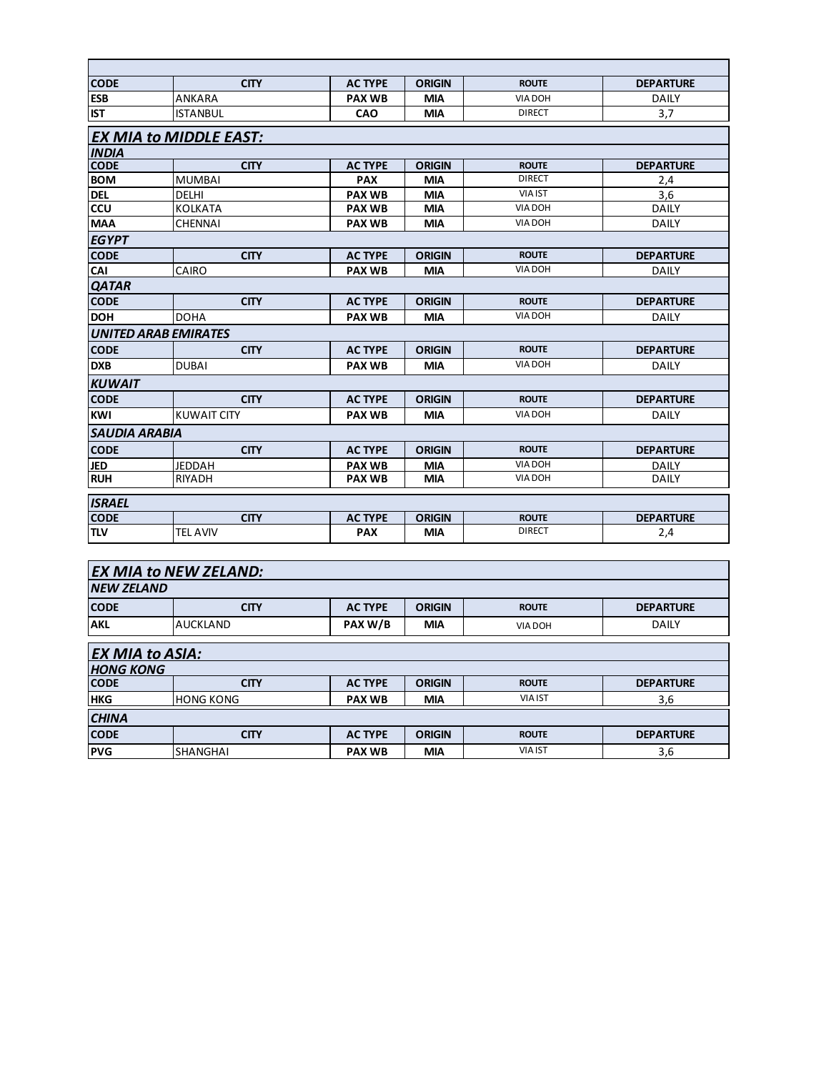| <b>CODE</b>                 | <b>CITY</b>                   | <b>AC TYPE</b> | <b>ORIGIN</b> | <b>ROUTE</b>   | <b>DEPARTURE</b> |  |  |  |  |  |
|-----------------------------|-------------------------------|----------------|---------------|----------------|------------------|--|--|--|--|--|
| <b>ESB</b>                  | ANKARA                        | <b>PAX WB</b>  | <b>MIA</b>    | <b>VIA DOH</b> | <b>DAILY</b>     |  |  |  |  |  |
| <b>IST</b>                  | <b>ISTANBUL</b>               | <b>CAO</b>     | <b>MIA</b>    | <b>DIRECT</b>  | 3,7              |  |  |  |  |  |
|                             | <b>EX MIA to MIDDLE EAST:</b> |                |               |                |                  |  |  |  |  |  |
| <b>INDIA</b>                |                               |                |               |                |                  |  |  |  |  |  |
| <b>CODE</b>                 | <b>CITY</b>                   | <b>AC TYPE</b> | <b>ORIGIN</b> | <b>ROUTE</b>   | <b>DEPARTURE</b> |  |  |  |  |  |
| <b>BOM</b>                  | <b>MUMBAI</b>                 | <b>PAX</b>     | <b>MIA</b>    | <b>DIRECT</b>  | 2,4              |  |  |  |  |  |
| <b>DEL</b>                  | <b>DELHI</b>                  | <b>PAX WB</b>  | <b>MIA</b>    | <b>VIA IST</b> | 3,6              |  |  |  |  |  |
| ccu                         | KOLKATA                       | <b>PAX WB</b>  | <b>MIA</b>    | <b>VIA DOH</b> | <b>DAILY</b>     |  |  |  |  |  |
| <b>MAA</b>                  | CHENNAI                       | <b>PAX WB</b>  | <b>MIA</b>    | <b>VIA DOH</b> | <b>DAILY</b>     |  |  |  |  |  |
| <b>EGYPT</b>                |                               |                |               |                |                  |  |  |  |  |  |
| <b>CODE</b>                 | <b>CITY</b>                   | <b>AC TYPE</b> | <b>ORIGIN</b> | <b>ROUTE</b>   | <b>DEPARTURE</b> |  |  |  |  |  |
| CAI                         | CAIRO                         | <b>PAX WB</b>  | <b>MIA</b>    | <b>VIA DOH</b> | <b>DAILY</b>     |  |  |  |  |  |
| <b>QATAR</b>                |                               |                |               |                |                  |  |  |  |  |  |
| <b>CODE</b>                 | <b>CITY</b>                   | <b>AC TYPE</b> | <b>ORIGIN</b> | <b>ROUTE</b>   | <b>DEPARTURE</b> |  |  |  |  |  |
| <b>DOH</b>                  | <b>DOHA</b>                   | <b>PAX WB</b>  | <b>MIA</b>    | <b>VIA DOH</b> | <b>DAILY</b>     |  |  |  |  |  |
| <b>UNITED ARAB EMIRATES</b> |                               |                |               |                |                  |  |  |  |  |  |
| <b>CODE</b>                 | <b>CITY</b>                   | <b>AC TYPE</b> | <b>ORIGIN</b> | <b>ROUTE</b>   | <b>DEPARTURE</b> |  |  |  |  |  |
| <b>DXB</b>                  | <b>DUBAI</b>                  | <b>PAX WB</b>  | <b>MIA</b>    | <b>VIA DOH</b> | <b>DAILY</b>     |  |  |  |  |  |
| <b>KUWAIT</b>               |                               |                |               |                |                  |  |  |  |  |  |
| <b>CODE</b>                 | <b>CITY</b>                   | <b>AC TYPE</b> | <b>ORIGIN</b> | <b>ROUTE</b>   | <b>DEPARTURE</b> |  |  |  |  |  |
| <b>KWI</b>                  | <b>KUWAIT CITY</b>            | <b>PAX WB</b>  | <b>MIA</b>    | <b>VIA DOH</b> | <b>DAILY</b>     |  |  |  |  |  |
| <b>SAUDIA ARABIA</b>        |                               |                |               |                |                  |  |  |  |  |  |
| <b>CODE</b>                 | <b>CITY</b>                   | <b>AC TYPE</b> | <b>ORIGIN</b> | <b>ROUTE</b>   | <b>DEPARTURE</b> |  |  |  |  |  |
| <b>JED</b>                  | <b>JEDDAH</b>                 | <b>PAX WB</b>  | <b>MIA</b>    | <b>VIA DOH</b> | <b>DAILY</b>     |  |  |  |  |  |
| <b>RUH</b>                  | <b>RIYADH</b>                 | <b>PAX WB</b>  | <b>MIA</b>    | <b>VIA DOH</b> | <b>DAILY</b>     |  |  |  |  |  |
| <b>ISRAEL</b>               |                               |                |               |                |                  |  |  |  |  |  |
| <b>CODE</b>                 | <b>CITY</b>                   | <b>AC TYPE</b> | <b>ORIGIN</b> | <b>ROUTE</b>   | <b>DEPARTURE</b> |  |  |  |  |  |
| <b>TLV</b>                  | <b>TEL AVIV</b>               | <b>PAX</b>     | MIA           | <b>DIRECT</b>  | 2,4              |  |  |  |  |  |
|                             |                               |                |               |                |                  |  |  |  |  |  |
|                             | <b>EX MIA to NEW ZELAND:</b>  |                |               |                |                  |  |  |  |  |  |
| <b>NEW ZELAND</b>           |                               |                |               |                |                  |  |  |  |  |  |
| <b>CODE</b>                 | <b>CITY</b>                   | <b>AC TYPE</b> | <b>ORIGIN</b> | <b>ROUTE</b>   | <b>DEPARTURE</b> |  |  |  |  |  |
| <b>AKL</b>                  | <b>AUCKLAND</b>               | PAX W/B        | <b>MIA</b>    | VIA DOH        | <b>DAILY</b>     |  |  |  |  |  |
| <b>EX MIA to ASIA:</b>      |                               |                |               |                |                  |  |  |  |  |  |

| <b>HONG KONG</b> |                  |                |               |                |                  |  |
|------------------|------------------|----------------|---------------|----------------|------------------|--|
| <b>CODE</b>      | <b>CITY</b>      | <b>AC TYPE</b> | <b>ORIGIN</b> | <b>ROUTE</b>   | <b>DEPARTURE</b> |  |
| <b>HKG</b>       | <b>HONG KONG</b> | <b>PAX WB</b>  | <b>MIA</b>    | <b>VIA IST</b> | 3,6              |  |
| <b>CHINA</b>     |                  |                |               |                |                  |  |
| <b>CODE</b>      | <b>CITY</b>      | <b>AC TYPE</b> | <b>ORIGIN</b> | <b>ROUTE</b>   | <b>DEPARTURE</b> |  |
| <b>PVG</b>       | <b>SHANGHAI</b>  | <b>PAX WB</b>  | <b>MIA</b>    | <b>VIA IST</b> | 3,6              |  |